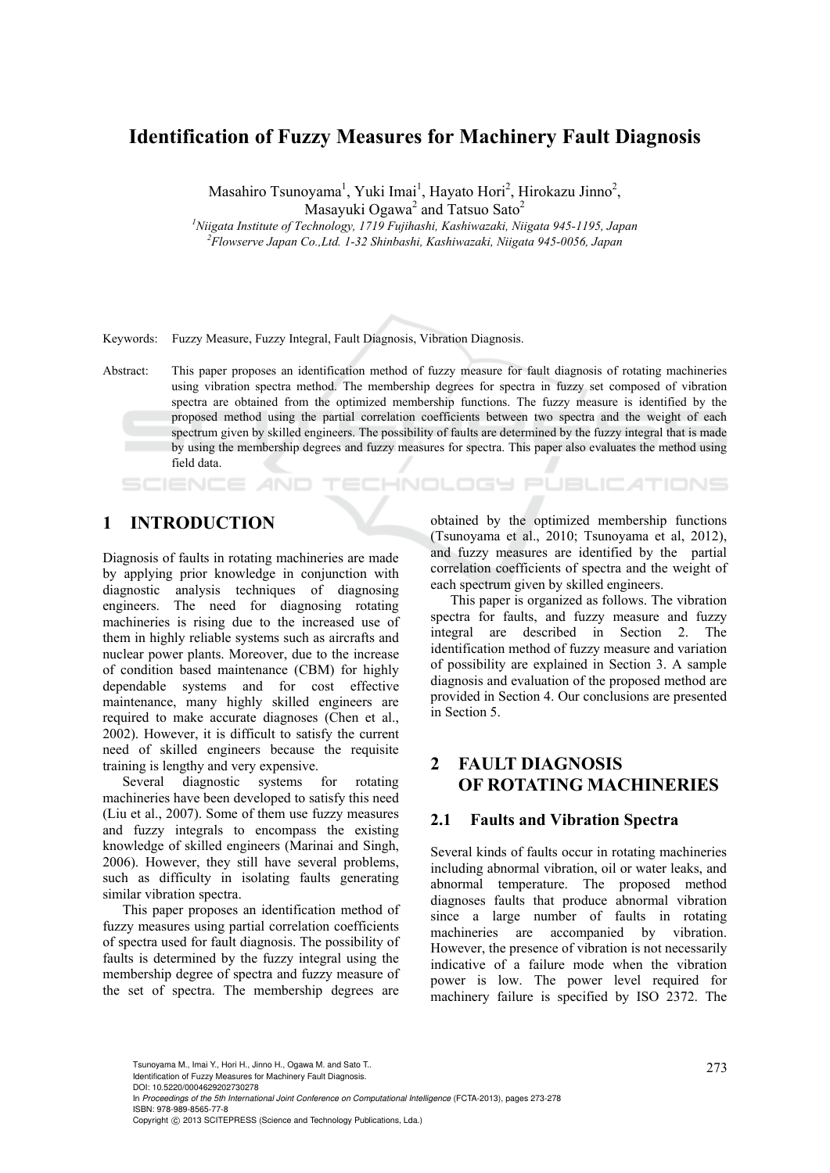# **Identification of Fuzzy Measures for Machinery Fault Diagnosis**

Masahiro Tsunoyama<sup>1</sup>, Yuki Imai<sup>1</sup>, Hayato Hori<sup>2</sup>, Hirokazu Jinno<sup>2</sup>, Masayuki Ogawa<sup>2</sup> and Tatsuo Sato<sup>2</sup>

<sup>1</sup> Niigata Institute of Technology, 1719 Fujihashi, Kashiwazaki, Niigata 945-1195, Japan <sup>2</sup> Elevasuus Japan 2005 Anggri *Flowserve Japan Co.,Ltd. 1-32 Shinbashi, Kashiwazaki, Niigata 945-0056, Japan* 

Keywords: Fuzzy Measure, Fuzzy Integral, Fault Diagnosis, Vibration Diagnosis.

Abstract: This paper proposes an identification method of fuzzy measure for fault diagnosis of rotating machineries using vibration spectra method. The membership degrees for spectra in fuzzy set composed of vibration spectra are obtained from the optimized membership functions. The fuzzy measure is identified by the proposed method using the partial correlation coefficients between two spectra and the weight of each spectrum given by skilled engineers. The possibility of faults are determined by the fuzzy integral that is made by using the membership degrees and fuzzy measures for spectra. This paper also evaluates the method using field data.

#### SCIENCE AND **ECHNOLOGY PUBLICATIONS**

# **1 INTRODUCTION**

Diagnosis of faults in rotating machineries are made by applying prior knowledge in conjunction with diagnostic analysis techniques of diagnosing engineers. The need for diagnosing rotating machineries is rising due to the increased use of them in highly reliable systems such as aircrafts and nuclear power plants. Moreover, due to the increase of condition based maintenance (CBM) for highly dependable systems and for cost effective maintenance, many highly skilled engineers are required to make accurate diagnoses (Chen et al., 2002). However, it is difficult to satisfy the current need of skilled engineers because the requisite training is lengthy and very expensive.

Several diagnostic systems for rotating machineries have been developed to satisfy this need (Liu et al., 2007). Some of them use fuzzy measures and fuzzy integrals to encompass the existing knowledge of skilled engineers (Marinai and Singh, 2006). However, they still have several problems, such as difficulty in isolating faults generating similar vibration spectra.

This paper proposes an identification method of fuzzy measures using partial correlation coefficients of spectra used for fault diagnosis. The possibility of faults is determined by the fuzzy integral using the membership degree of spectra and fuzzy measure of the set of spectra. The membership degrees are obtained by the optimized membership functions (Tsunoyama et al., 2010; Tsunoyama et al, 2012), and fuzzy measures are identified by the partial correlation coefficients of spectra and the weight of each spectrum given by skilled engineers.

This paper is organized as follows. The vibration spectra for faults, and fuzzy measure and fuzzy integral are described in Section 2. The identification method of fuzzy measure and variation of possibility are explained in Section 3. A sample diagnosis and evaluation of the proposed method are provided in Section 4. Our conclusions are presented in Section 5.

# **2 FAULT DIAGNOSIS OF ROTATING MACHINERIES**

### **2.1 Faults and Vibration Spectra**

Several kinds of faults occur in rotating machineries including abnormal vibration, oil or water leaks, and abnormal temperature. The proposed method diagnoses faults that produce abnormal vibration since a large number of faults in rotating machineries are accompanied by vibration. However, the presence of vibration is not necessarily indicative of a failure mode when the vibration power is low. The power level required for machinery failure is specified by ISO 2372. The

Tsunoyama M., Imai Y., Hori H., Jinno H., Ogawa M. and Sato T.. 2008) 2008 12:

Identification of Fuzzy Measures for Machinery Fault Diagnosis. DOI: 10.5220/0004629202730278

In *Proceedings of the 5th International Joint Conference on Computational Intelligence* (FCTA-2013), pages 273-278 ISBN: 978-989-8565-77-8

Copyright © 2013 SCITEPRESS (Science and Technology Publications, Lda.)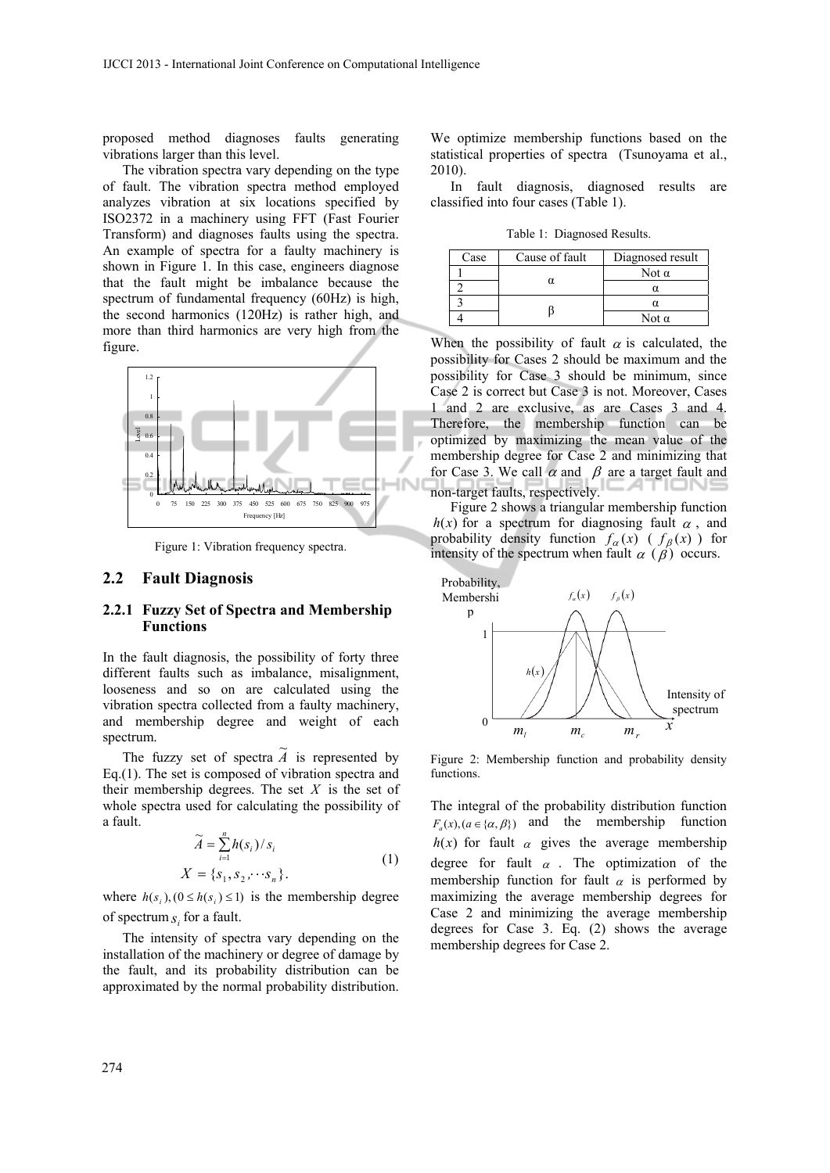proposed method diagnoses faults generating vibrations larger than this level.

The vibration spectra vary depending on the type of fault. The vibration spectra method employed analyzes vibration at six locations specified by ISO2372 in a machinery using FFT (Fast Fourier Transform) and diagnoses faults using the spectra. An example of spectra for a faulty machinery is shown in Figure 1. In this case, engineers diagnose that the fault might be imbalance because the spectrum of fundamental frequency (60Hz) is high, the second harmonics (120Hz) is rather high, and more than third harmonics are very high from the figure.



Figure 1: Vibration frequency spectra.

#### **2.2 Fault Diagnosis**

#### **2.2.1 Fuzzy Set of Spectra and Membership Functions**

In the fault diagnosis, the possibility of forty three different faults such as imbalance, misalignment, looseness and so on are calculated using the vibration spectra collected from a faulty machinery, and membership degree and weight of each spectrum.

The fuzzy set of spectra  $\tilde{A}$  is represented by Eq.(1). The set is composed of vibration spectra and their membership degrees. The set *X* is the set of whole spectra used for calculating the possibility of a fault.

$$
\widetilde{A} = \sum_{i=1}^{n} h(s_i) / s_i
$$
\n
$$
X = \{s_1, s_2, \cdots s_n\}.
$$
\n(1)

where  $h(s_i), (0 \leq h(s_i) \leq 1)$  is the membership degree of spectrum  $s_i$  for a fault.

The intensity of spectra vary depending on the installation of the machinery or degree of damage by the fault, and its probability distribution can be approximated by the normal probability distribution.

We optimize membership functions based on the statistical properties of spectra (Tsunoyama et al., 2010).

In fault diagnosis, diagnosed results are classified into four cases (Table 1).

Table 1: Diagnosed Results.

| Case | Cause of fault | Diagnosed result |
|------|----------------|------------------|
|      |                | Not α            |
|      |                |                  |
|      |                |                  |
|      |                | Not $\alpha$     |

When the possibility of fault  $\alpha$  is calculated, the possibility for Cases 2 should be maximum and the possibility for Case 3 should be minimum, since Case 2 is correct but Case 3 is not. Moreover, Cases 1 and 2 are exclusive, as are Cases 3 and 4. Therefore, the membership function can be optimized by maximizing the mean value of the membership degree for Case 2 and minimizing that for Case 3. We call  $\alpha$  and  $\beta$  are a target fault and non-target faults, respectively.

Figure 2 shows a triangular membership function  $h(x)$  for a spectrum for diagnosing fault  $\alpha$ , and probability density function  $f_{\alpha}(x)$  ( $f_{\beta}(x)$ ) for intensity of the spectrum when fault  $\alpha$  ( $\beta$ ) occurs.



Figure 2: Membership function and probability density functions.

The integral of the probability distribution function  $F_a(x)$ ,  $(a \in \{\alpha, \beta\})$  and the membership function  $h(x)$  for fault  $\alpha$  gives the average membership degree for fault  $\alpha$ . The optimization of the membership function for fault  $\alpha$  is performed by maximizing the average membership degrees for Case 2 and minimizing the average membership degrees for Case 3. Eq. (2) shows the average membership degrees for Case 2.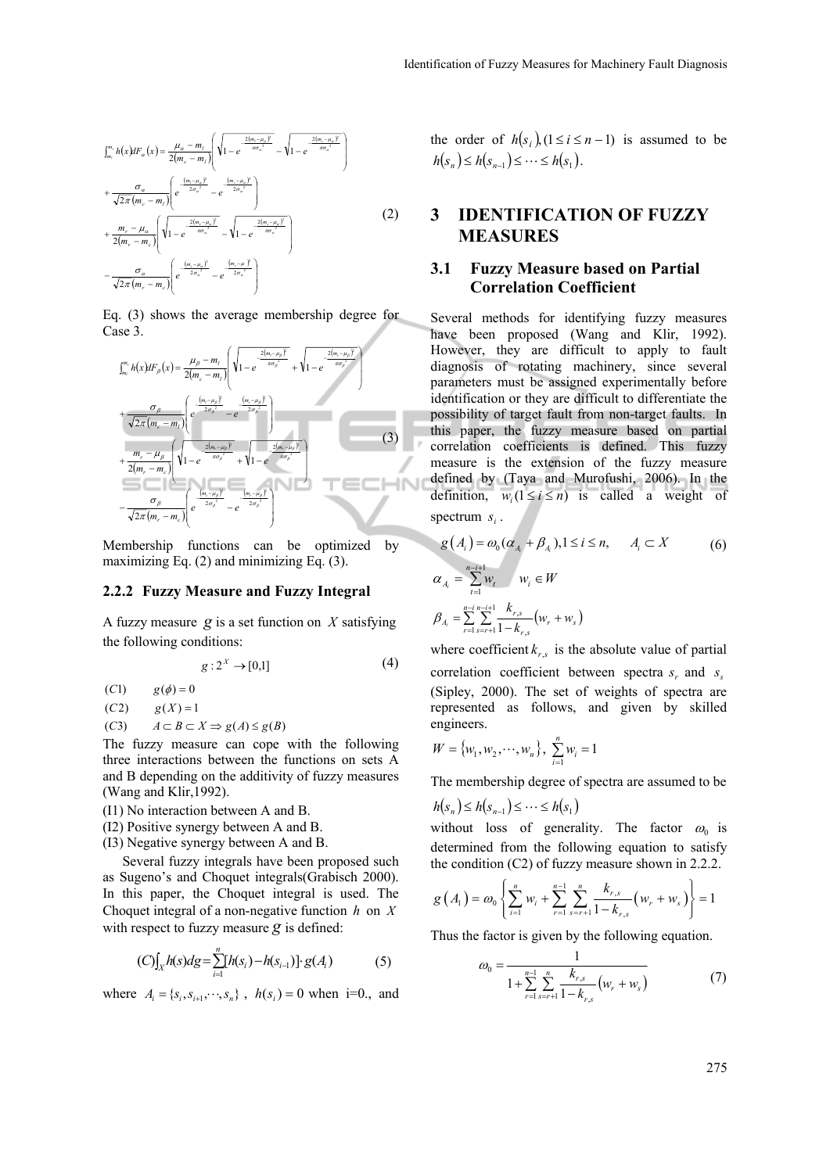$$
\int_{m_i}^{m_i} h(x) dF_{\alpha}(x) = \frac{\mu_{\alpha} - m_i}{2(m_{\alpha} - m_i)} \left( \sqrt{1 - e^{-\frac{2(m_i - \mu_{\alpha})^2}{\pi \sigma_{\alpha}^2}}} - \sqrt{1 - e^{-\frac{2(m_i - \mu_{\alpha})^2}{\pi \sigma_{\alpha}^2}}} \right)
$$
  
+ 
$$
\frac{\sigma_{\alpha}}{\sqrt{2\pi (m_{\alpha} - m_i)}} \left( e^{-\frac{(m_i - \mu_{\alpha})^2}{2\sigma_{\alpha}^2}} - e^{-\frac{(m_{\alpha} - \mu_{\alpha})^2}{2\sigma_{\alpha}^2}} \right)
$$
  
+ 
$$
\frac{m_r - \mu_{\alpha}}{2(m_r - m_c)} \left( \sqrt{1 - e^{-\frac{2(m_r - \mu_{\alpha})^2}{\pi \sigma_{\alpha}^2}}} - \sqrt{1 - e^{-\frac{2(m_r - \mu_{\alpha})^2}{\pi \sigma_{\alpha}^2}}} \right)
$$
  
- 
$$
\frac{\sigma_{\alpha}}{\sqrt{2\pi (m_r - m_c)}} \left( e^{-\frac{(m_r - \mu_{\alpha})^2}{2\sigma_{\alpha}^2}} - e^{-\frac{(m_r - \mu_{\alpha})^2}{2\sigma_{\alpha}^2}} \right)
$$
  
(2)

Eq. (3) shows the average membership degree for Case 3.



Membership functions can be optimized by maximizing Eq. (2) and minimizing Eq. (3).

#### **2.2.2 Fuzzy Measure and Fuzzy Integral**

A fuzzy measure *g* is a set function on *X* satisfying the following conditions:

$$
g: 2^X \to [0,1] \tag{4}
$$

(*C*1)  $g(\phi) = 0$ 

- $f(C2)$   $g(X) = 1$
- (*C*3)  $A \subset B \subset X \Rightarrow g(A) \leq g(B)$

The fuzzy measure can cope with the following three interactions between the functions on sets A and B depending on the additivity of fuzzy measures (Wang and Klir,1992).

- (I1) No interaction between A and B.
- (I2) Positive synergy between A and B.
- (I3) Negative synergy between A and B.

Several fuzzy integrals have been proposed such as Sugeno's and Choquet integrals(Grabisch 2000). In this paper, the Choquet integral is used. The Choquet integral of a non-negative function *h* on *X* with respect to fuzzy measure *g* is defined:

$$
(C)\int_X h(s)ds = \sum_{i=1}^n [h(s_i) - h(s_{i-1})] \cdot g(A_i)
$$
 (5)

where  $A_i = \{s_i, s_{i+1}, \dots, s_n\}$ ,  $h(s_i) = 0$  when i=0., and

the order of  $h(s_i)$ ,  $(1 \le i \le n-1)$  is assumed to be  $h(s_n) \leq h(s_{n-1}) \leq \cdots \leq h(s_1)$ .

# **3 IDENTIFICATION OF FUZZY MEASURES**

### **3.1 Fuzzy Measure based on Partial Correlation Coefficient**

Several methods for identifying fuzzy measures have been proposed (Wang and Klir, 1992). However, they are difficult to apply to fault diagnosis of rotating machinery, since several parameters must be assigned experimentally before identification or they are difficult to differentiate the possibility of target fault from non-target faults. In this paper, the fuzzy measure based on partial correlation coefficients is defined. This fuzzy measure is the extension of the fuzzy measure defined by (Taya and Murofushi, 2006). In the definition,  $w_i (1 \le i \le n)$  is called a weight of spectrum  $s_i$ .

$$
g(A_i) = \omega_0 (\alpha_{A_i} + \beta_{A_i}), 1 \le i \le n, \qquad A_i \subset X
$$
\n
$$
\alpha_{A_i} = \sum_{t=1}^{n-i+1} w_t \qquad w_i \in W
$$
\n
$$
\beta_{A_i} = \sum_{r=1}^{n-i} \sum_{s=r+1}^{n-i+1} \frac{k_{r,s}}{1 - k_{r,s}} (w_r + w_s)
$$
\n(6)

where coefficient  $k_{rs}$  is the absolute value of partial correlation coefficient between spectra  $s_r$  and  $s_s$ (Sipley, 2000). The set of weights of spectra are represented as follows, and given by skilled engineers.

$$
W = \{w_1, w_2, \cdots, w_n\}, \sum_{i=1}^n w_i = 1
$$

The membership degree of spectra are assumed to be

$$
h(s_n) \leq h(s_{n-1}) \leq \cdots \leq h(s_1)
$$

without loss of generality. The factor  $\omega_0$  is determined from the following equation to satisfy the condition (C2) of fuzzy measure shown in 2.2.2.

$$
g(A_1) = \omega_0 \left\{ \sum_{i=1}^n w_i + \sum_{r=1}^{n-1} \sum_{s=r+1}^n \frac{k_{r,s}}{1 - k_{r,s}} \left( w_r + w_s \right) \right\} = 1
$$

Thus the factor is given by the following equation.

$$
\omega_0 = \frac{1}{1 + \sum_{r=1}^{n-1} \sum_{s=r+1}^n \frac{k_{r,s}}{1 - k_{r,s}} \left( w_r + w_s \right)}\tag{7}
$$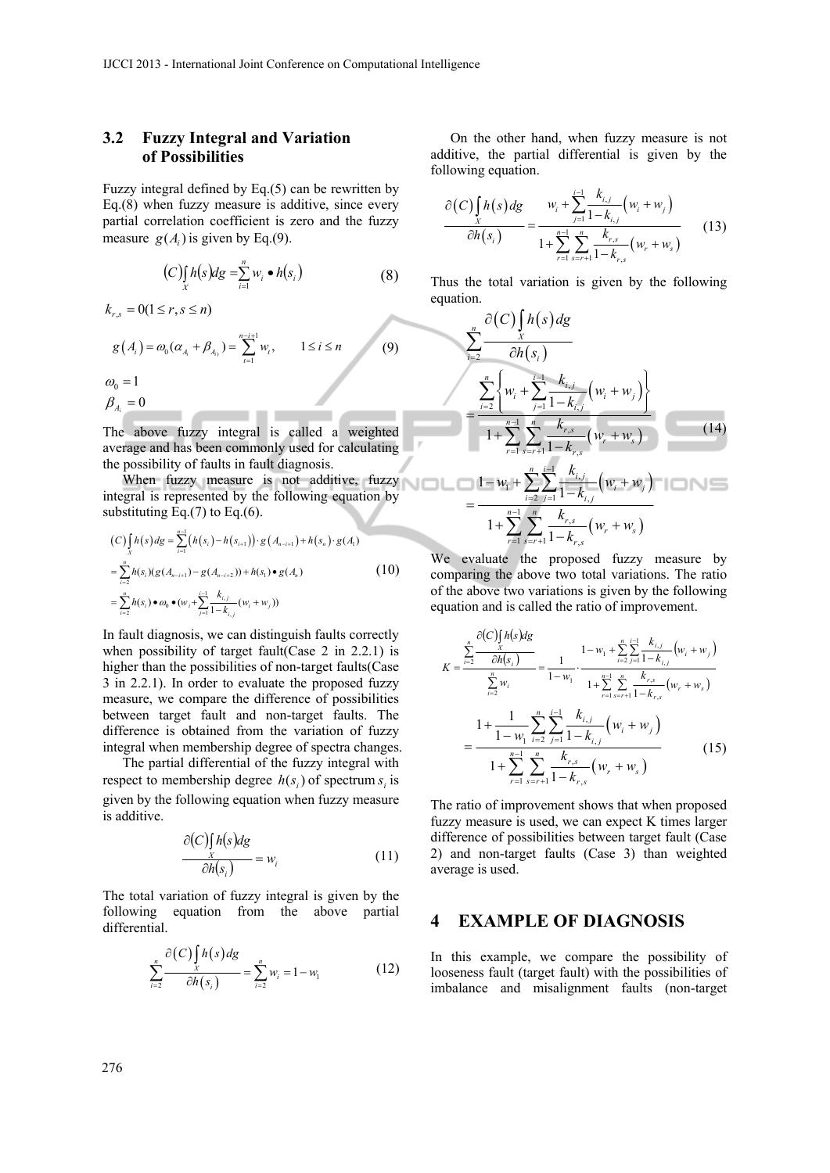### **3.2 Fuzzy Integral and Variation of Possibilities**

Fuzzy integral defined by Eq.(5) can be rewritten by Eq.(8) when fuzzy measure is additive, since every partial correlation coefficient is zero and the fuzzy measure  $g(A)$  is given by Eq.(9).

$$
(C)\int\limits_X h(s)ds = \sum\limits_{i=1}^n w_i \bullet h(s_i)
$$
 (8)

$$
k_{r,s} = 0(1 \le r, s \le n)
$$
  
\n
$$
g(A_i) = \omega_0(\alpha_{A_i} + \beta_{A_i}) = \sum_{t=1}^{n-i+1} w_t, \qquad 1 \le i \le n
$$
 (9)  
\n
$$
\omega_0 = 1
$$

$$
\rho_{A_i} = 0
$$

The above fuzzy integral is called a weighted average and has been commonly used for calculating the possibility of faults in fault diagnosis.

\_\_\_

When fuzzy measure is not additive, fuzzy integral is represented by the following equation by substituting Eq. $(7)$  to Eq. $(6)$ .

$$
(C)\int_{X} h(s)ds = \sum_{i=1}^{n-1} (h(s_i) - h(s_{i+1})) \cdot g(A_{n-i+1}) + h(s_n) \cdot g(A_1)
$$
  
= 
$$
\sum_{i=2}^{n} h(s_i) (g(A_{n-i+1}) - g(A_{n-i+2})) + h(s_1) \cdot g(A_n)
$$
  
= 
$$
\sum_{i=2}^{n} h(s_i) \cdot \omega_0 \cdot (w_i + \sum_{j=1}^{i-1} \frac{k_{i,j}}{1 - k_{i,j}} (w_i + w_j))
$$
 (10)

In fault diagnosis, we can distinguish faults correctly when possibility of target fault(Case 2 in 2.2.1) is higher than the possibilities of non-target faults(Case 3 in 2.2.1). In order to evaluate the proposed fuzzy measure, we compare the difference of possibilities between target fault and non-target faults. The difference is obtained from the variation of fuzzy integral when membership degree of spectra changes.

The partial differential of the fuzzy integral with respect to membership degree  $h(s_i)$  of spectrum  $s_i$  is given by the following equation when fuzzy measure is additive.

$$
\frac{\partial (C) \int h(s) ds}{\partial h(s_i)} = w_i \tag{11}
$$

The total variation of fuzzy integral is given by the following equation from the above partial differential.

$$
\sum_{i=2}^{n} \frac{\partial(C) \int_{X} h(s) ds}{\partial h(s_i)} = \sum_{i=2}^{n} w_i = 1 - w_1
$$
 (12)

On the other hand, when fuzzy measure is not additive, the partial differential is given by the following equation.

$$
\frac{\partial (C) \int_{X} h(s) ds}{\partial h(s_i)} = \frac{w_i + \sum_{j=1}^{i-1} \frac{k_{i,j}}{1 - k_{i,j}} (w_i + w_j)}{1 + \sum_{r=1}^{n-1} \sum_{s=r+1}^{n} \frac{k_{r,s}}{1 - k_{r,s}} (w_r + w_s)}
$$
(13)

Thus the total variation is given by the following equation.

$$
\sum_{i=2}^{n} \frac{\partial(C) \int_{X} h(s) ds}{\partial h(s_i)}
$$
\n
$$
= \frac{\sum_{i=2}^{n} \left\{ w_i + \sum_{j=1}^{i-1} \frac{k_{i,j}}{1 - k_{i,j}} (w_i + w_j) \right\}}{1 + \sum_{r=1}^{n-1} \sum_{s=r+1}^{n} \frac{k_{r,s}}{1 - k_{r,s}} (w_r + w_s)}
$$
\n
$$
= \frac{1 - w_1 + \sum_{i=2}^{n} \sum_{j=1}^{i-1} \frac{k_{i,j}}{1 - k_{i,j}} (w_i + w_j)}{1 + \sum_{r=1}^{n-1} \sum_{s=r+1}^{n} \frac{k_{r,s}}{1 - k_{r,s}} (w_r + w_s)}
$$
\n(14)

We evaluate the proposed fuzzy measure by comparing the above two total variations. The ratio of the above two variations is given by the following equation and is called the ratio of improvement.

$$
K = \frac{\sum_{i=2}^{n} \frac{\partial (C) \int_{i} h(s) dg}{\partial h(s_{i})}}{\sum_{i=2}^{n} w_{i}} = \frac{1}{1 - w_{1}} \cdot \frac{1 - w_{1} + \sum_{i=2}^{n} \sum_{j=1}^{i-1} \frac{k_{i,j}}{1 - k_{i,j}} (w_{i} + w_{j})}{1 + \sum_{r=1}^{n-1} \sum_{s=r+1}^{n} \frac{k_{r,s}}{1 - k_{r,s}} (w_{r} + w_{s})}
$$

$$
= \frac{1 + \frac{1}{1 - w_{1}} \sum_{i=2}^{n} \sum_{j=1}^{i-1} \frac{k_{i,j}}{1 - k_{i,j}} (w_{i} + w_{j})}{1 + \sum_{r=1}^{n-1} \sum_{s=r+1}^{n} \frac{k_{r,s}}{1 - k_{r,s}} (w_{r} + w_{s})}
$$
(15)

The ratio of improvement shows that when proposed fuzzy measure is used, we can expect K times larger difference of possibilities between target fault (Case 2) and non-target faults (Case 3) than weighted average is used.

### **4 EXAMPLE OF DIAGNOSIS**

In this example, we compare the possibility of looseness fault (target fault) with the possibilities of imbalance and misalignment faults (non-target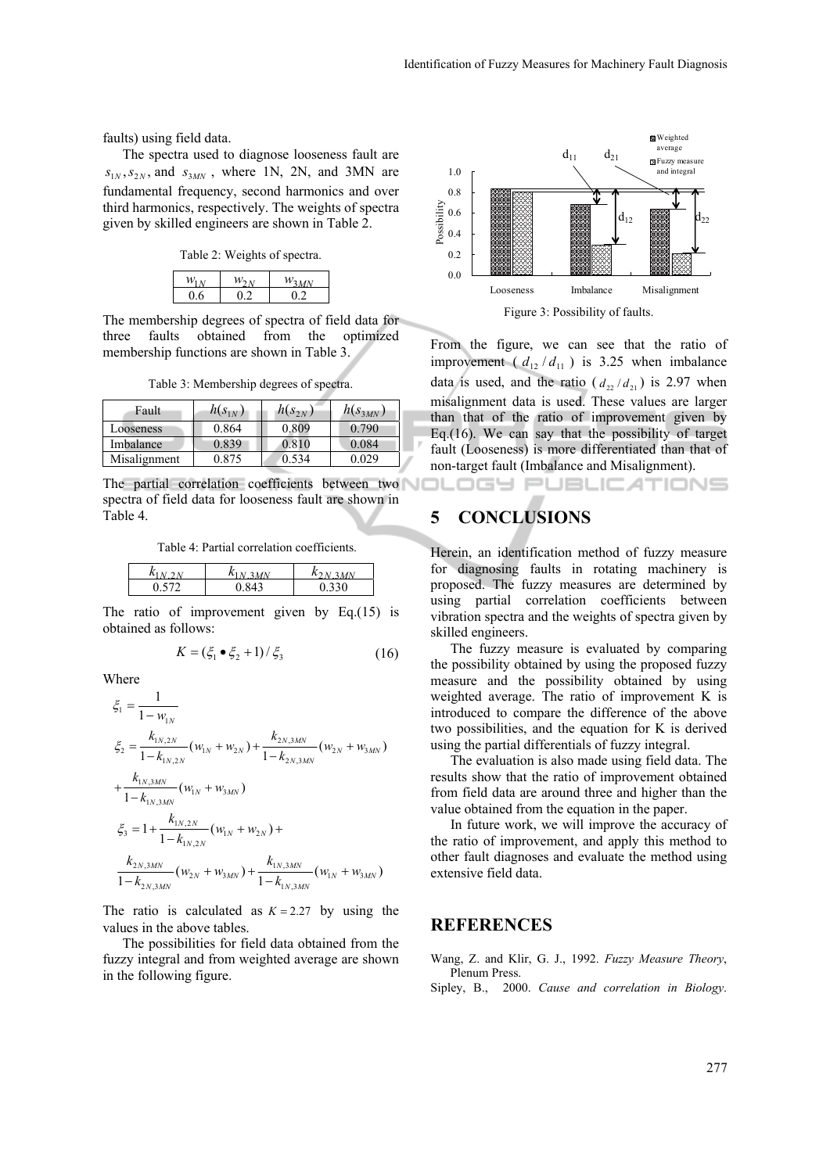faults) using field data.

The spectra used to diagnose looseness fault are  $s_{1N}$ ,  $s_{2N}$ , and  $s_{3MN}$ , where 1N, 2N, and 3MN are fundamental frequency, second harmonics and over third harmonics, respectively. The weights of spectra given by skilled engineers are shown in Table 2.

Table 2: Weights of spectra.

| <b>142</b> |     |      |
|------------|-----|------|
| 06         | כו: | ת בי |

The membership degrees of spectra of field data for three faults obtained from the optimized membership functions are shown in Table 3.

Table 3: Membership degrees of spectra.

| Fault        | $h(s_{1N})$ | $h(s_{2N})$ | $h(s_{3MN})$ |
|--------------|-------------|-------------|--------------|
| Looseness    | 0.864       | 0.809       | 0.790        |
| Imbalance    | 0.839       | 0.810       | 0.084        |
| Misalignment | 0 875       | 0.534       | ን በ29        |

The partial correlation coefficients between two spectra of field data for looseness fault are shown in Table 4.

Table 4: Partial correlation coefficients.

| $\mathbf{r}$ | $\mathbf{r}$ |
|--------------|--------------|
|              | 20           |

The ratio of improvement given by Eq.(15) is obtained as follows:

$$
K = (\xi_1 \bullet \xi_2 + 1) / \xi_3 \tag{16}
$$

Where

$$
\xi_1 = \frac{1}{1 - w_{1N}}
$$
\n
$$
\xi_2 = \frac{k_{1N,2N}}{1 - k_{1N,2N}} (w_{1N} + w_{2N}) + \frac{k_{2N,3MN}}{1 - k_{2N,3MN}} (w_{2N} + w_{3MN})
$$
\n
$$
+ \frac{k_{1N,3MN}}{1 - k_{1N,3MN}} (w_{1N} + w_{3MN})
$$
\n
$$
\xi_3 = 1 + \frac{k_{1N,2N}}{1 - k_{1N,2N}} (w_{1N} + w_{2N}) + \frac{k_{1N,3MN}}{1 - k_{2N,3MN}} (w_{2N} + w_{3MN}) + \frac{k_{1N,3MN}}{1 - k_{1N,3MN}} (w_{1N} + w_{3MN})
$$

The ratio is calculated as  $K = 2.27$  by using the values in the above tables.

The possibilities for field data obtained from the fuzzy integral and from weighted average are shown in the following figure.



From the figure, we can see that the ratio of improvement ( $d_{12}/d_{11}$ ) is 3.25 when imbalance data is used, and the ratio ( $d_{22}/d_{21}$ ) is 2.97 when misalignment data is used. These values are larger than that of the ratio of improvement given by Eq.(16). We can say that the possibility of target fault (Looseness) is more differentiated than that of non-target fault (Imbalance and Misalignment).

OGY PUBLICATIONS

## **5 CONCLUSIONS**

Herein, an identification method of fuzzy measure for diagnosing faults in rotating machinery is proposed. The fuzzy measures are determined by using partial correlation coefficients between vibration spectra and the weights of spectra given by skilled engineers.

The fuzzy measure is evaluated by comparing the possibility obtained by using the proposed fuzzy measure and the possibility obtained by using weighted average. The ratio of improvement K is introduced to compare the difference of the above two possibilities, and the equation for K is derived using the partial differentials of fuzzy integral.

The evaluation is also made using field data. The results show that the ratio of improvement obtained from field data are around three and higher than the value obtained from the equation in the paper.

In future work, we will improve the accuracy of the ratio of improvement, and apply this method to other fault diagnoses and evaluate the method using extensive field data.

### **REFERENCES**

Wang, Z. and Klir, G. J., 1992. *Fuzzy Measure Theory*, Plenum Press.

Sipley, B., 2000. *Cause and correlation in Biology*.